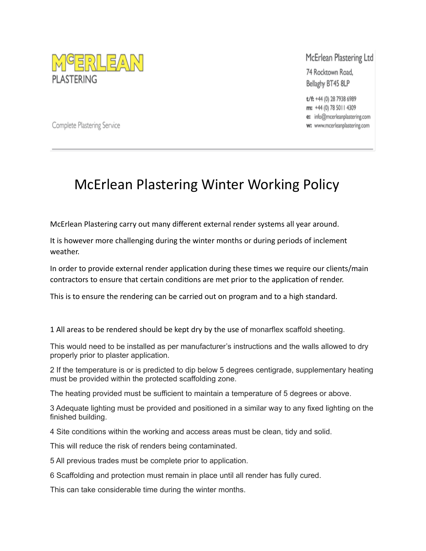

McErlean Plastering Ltd

74 Rocktown Road, Bellaghy BT45 8LP

t/f: +44 (0) 28 7938 6989 m: +44 (0) 78 5011 4309 e: info@mcerleanplastering.com w: www.mcerleanplastering.com

Complete Plastering Service

## McErlean Plastering Winter Working Policy

McErlean Plastering carry out many different external render systems all year around.

It is however more challenging during the winter months or during periods of inclement weather.

In order to provide external render application during these times we require our clients/main contractors to ensure that certain conditions are met prior to the application of render.

This is to ensure the rendering can be carried out on program and to a high standard.

1 All areas to be rendered should be kept dry by the use of monarflex scaffold sheeting.

This would need to be installed as per manufacturer's instructions and the walls allowed to dry properly prior to plaster application.

2 If the temperature is or is predicted to dip below 5 degrees centigrade, supplementary heating must be provided within the protected scaffolding zone.

The heating provided must be sufficient to maintain a temperature of 5 degrees or above.

3 Adequate lighting must be provided and positioned in a similar way to any fixed lighting on the finished building.

4 Site conditions within the working and access areas must be clean, tidy and solid.

This will reduce the risk of renders being contaminated.

5 All previous trades must be complete prior to application.

6 Scaffolding and protection must remain in place until all render has fully cured.

This can take considerable time during the winter months.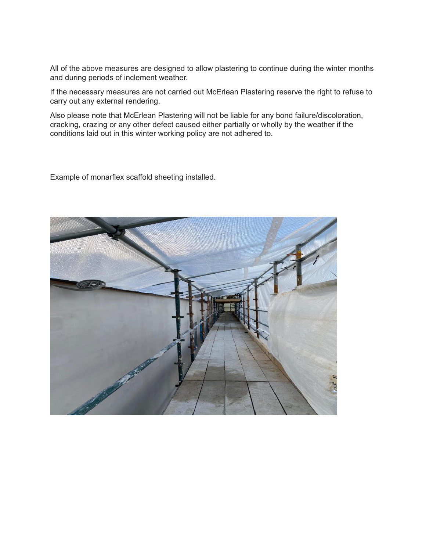All of the above measures are designed to allow plastering to continue during the winter months and during periods of inclement weather.

If the necessary measures are not carried out McErlean Plastering reserve the right to refuse to carry out any external rendering.

Also please note that McErlean Plastering will not be liable for any bond failure/discoloration, cracking, crazing or any other defect caused either partially or wholly by the weather if the conditions laid out in this winter working policy are not adhered to.

Example of monarflex scaffold sheeting installed.